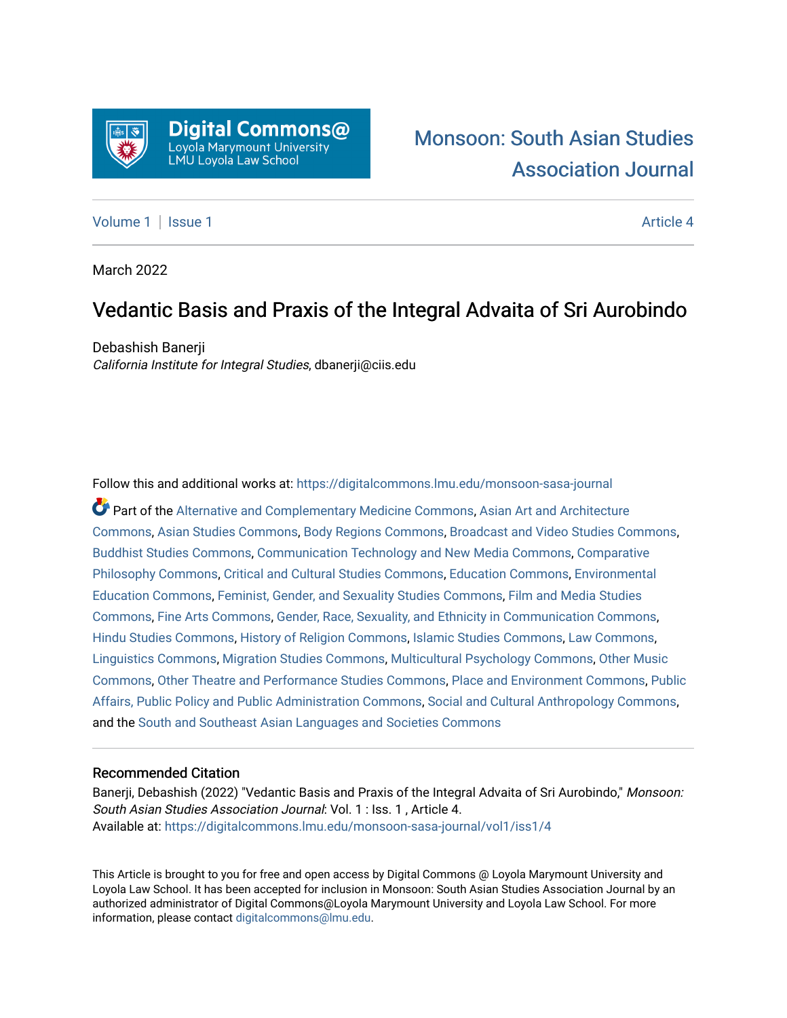

# [Monsoon: South Asian Studies](https://digitalcommons.lmu.edu/monsoon-sasa-journal)  [Association Journal](https://digitalcommons.lmu.edu/monsoon-sasa-journal)

## [Volume 1](https://digitalcommons.lmu.edu/monsoon-sasa-journal/vol1) | [Issue 1](https://digitalcommons.lmu.edu/monsoon-sasa-journal/vol1/iss1) Article 4

March 2022

## Vedantic Basis and Praxis of the Integral Advaita of Sri Aurobindo

Debashish Banerji California Institute for Integral Studies, dbanerji@ciis.edu

Follow this and additional works at: [https://digitalcommons.lmu.edu/monsoon-sasa-journal](https://digitalcommons.lmu.edu/monsoon-sasa-journal?utm_source=digitalcommons.lmu.edu%2Fmonsoon-sasa-journal%2Fvol1%2Fiss1%2F4&utm_medium=PDF&utm_campaign=PDFCoverPages) 

Part of the [Alternative and Complementary Medicine Commons,](http://network.bepress.com/hgg/discipline/649?utm_source=digitalcommons.lmu.edu%2Fmonsoon-sasa-journal%2Fvol1%2Fiss1%2F4&utm_medium=PDF&utm_campaign=PDFCoverPages) [Asian Art and Architecture](http://network.bepress.com/hgg/discipline/513?utm_source=digitalcommons.lmu.edu%2Fmonsoon-sasa-journal%2Fvol1%2Fiss1%2F4&utm_medium=PDF&utm_campaign=PDFCoverPages)  [Commons](http://network.bepress.com/hgg/discipline/513?utm_source=digitalcommons.lmu.edu%2Fmonsoon-sasa-journal%2Fvol1%2Fiss1%2F4&utm_medium=PDF&utm_campaign=PDFCoverPages), [Asian Studies Commons,](http://network.bepress.com/hgg/discipline/361?utm_source=digitalcommons.lmu.edu%2Fmonsoon-sasa-journal%2Fvol1%2Fiss1%2F4&utm_medium=PDF&utm_campaign=PDFCoverPages) [Body Regions Commons,](http://network.bepress.com/hgg/discipline/937?utm_source=digitalcommons.lmu.edu%2Fmonsoon-sasa-journal%2Fvol1%2Fiss1%2F4&utm_medium=PDF&utm_campaign=PDFCoverPages) [Broadcast and Video Studies Commons,](http://network.bepress.com/hgg/discipline/326?utm_source=digitalcommons.lmu.edu%2Fmonsoon-sasa-journal%2Fvol1%2Fiss1%2F4&utm_medium=PDF&utm_campaign=PDFCoverPages) [Buddhist Studies Commons,](http://network.bepress.com/hgg/discipline/1344?utm_source=digitalcommons.lmu.edu%2Fmonsoon-sasa-journal%2Fvol1%2Fiss1%2F4&utm_medium=PDF&utm_campaign=PDFCoverPages) [Communication Technology and New Media Commons,](http://network.bepress.com/hgg/discipline/327?utm_source=digitalcommons.lmu.edu%2Fmonsoon-sasa-journal%2Fvol1%2Fiss1%2F4&utm_medium=PDF&utm_campaign=PDFCoverPages) [Comparative](http://network.bepress.com/hgg/discipline/1343?utm_source=digitalcommons.lmu.edu%2Fmonsoon-sasa-journal%2Fvol1%2Fiss1%2F4&utm_medium=PDF&utm_campaign=PDFCoverPages)  [Philosophy Commons,](http://network.bepress.com/hgg/discipline/1343?utm_source=digitalcommons.lmu.edu%2Fmonsoon-sasa-journal%2Fvol1%2Fiss1%2F4&utm_medium=PDF&utm_campaign=PDFCoverPages) [Critical and Cultural Studies Commons](http://network.bepress.com/hgg/discipline/328?utm_source=digitalcommons.lmu.edu%2Fmonsoon-sasa-journal%2Fvol1%2Fiss1%2F4&utm_medium=PDF&utm_campaign=PDFCoverPages), [Education Commons,](http://network.bepress.com/hgg/discipline/784?utm_source=digitalcommons.lmu.edu%2Fmonsoon-sasa-journal%2Fvol1%2Fiss1%2F4&utm_medium=PDF&utm_campaign=PDFCoverPages) [Environmental](http://network.bepress.com/hgg/discipline/1305?utm_source=digitalcommons.lmu.edu%2Fmonsoon-sasa-journal%2Fvol1%2Fiss1%2F4&utm_medium=PDF&utm_campaign=PDFCoverPages)  [Education Commons,](http://network.bepress.com/hgg/discipline/1305?utm_source=digitalcommons.lmu.edu%2Fmonsoon-sasa-journal%2Fvol1%2Fiss1%2F4&utm_medium=PDF&utm_campaign=PDFCoverPages) [Feminist, Gender, and Sexuality Studies Commons](http://network.bepress.com/hgg/discipline/559?utm_source=digitalcommons.lmu.edu%2Fmonsoon-sasa-journal%2Fvol1%2Fiss1%2F4&utm_medium=PDF&utm_campaign=PDFCoverPages), [Film and Media Studies](http://network.bepress.com/hgg/discipline/563?utm_source=digitalcommons.lmu.edu%2Fmonsoon-sasa-journal%2Fvol1%2Fiss1%2F4&utm_medium=PDF&utm_campaign=PDFCoverPages)  [Commons](http://network.bepress.com/hgg/discipline/563?utm_source=digitalcommons.lmu.edu%2Fmonsoon-sasa-journal%2Fvol1%2Fiss1%2F4&utm_medium=PDF&utm_campaign=PDFCoverPages), [Fine Arts Commons,](http://network.bepress.com/hgg/discipline/1141?utm_source=digitalcommons.lmu.edu%2Fmonsoon-sasa-journal%2Fvol1%2Fiss1%2F4&utm_medium=PDF&utm_campaign=PDFCoverPages) [Gender, Race, Sexuality, and Ethnicity in Communication Commons](http://network.bepress.com/hgg/discipline/329?utm_source=digitalcommons.lmu.edu%2Fmonsoon-sasa-journal%2Fvol1%2Fiss1%2F4&utm_medium=PDF&utm_campaign=PDFCoverPages), [Hindu Studies Commons,](http://network.bepress.com/hgg/discipline/1345?utm_source=digitalcommons.lmu.edu%2Fmonsoon-sasa-journal%2Fvol1%2Fiss1%2F4&utm_medium=PDF&utm_campaign=PDFCoverPages) [History of Religion Commons](http://network.bepress.com/hgg/discipline/499?utm_source=digitalcommons.lmu.edu%2Fmonsoon-sasa-journal%2Fvol1%2Fiss1%2F4&utm_medium=PDF&utm_campaign=PDFCoverPages), [Islamic Studies Commons,](http://network.bepress.com/hgg/discipline/1346?utm_source=digitalcommons.lmu.edu%2Fmonsoon-sasa-journal%2Fvol1%2Fiss1%2F4&utm_medium=PDF&utm_campaign=PDFCoverPages) [Law Commons](http://network.bepress.com/hgg/discipline/578?utm_source=digitalcommons.lmu.edu%2Fmonsoon-sasa-journal%2Fvol1%2Fiss1%2F4&utm_medium=PDF&utm_campaign=PDFCoverPages), [Linguistics Commons,](http://network.bepress.com/hgg/discipline/371?utm_source=digitalcommons.lmu.edu%2Fmonsoon-sasa-journal%2Fvol1%2Fiss1%2F4&utm_medium=PDF&utm_campaign=PDFCoverPages) [Migration Studies Commons,](http://network.bepress.com/hgg/discipline/1394?utm_source=digitalcommons.lmu.edu%2Fmonsoon-sasa-journal%2Fvol1%2Fiss1%2F4&utm_medium=PDF&utm_campaign=PDFCoverPages) [Multicultural Psychology Commons,](http://network.bepress.com/hgg/discipline/1237?utm_source=digitalcommons.lmu.edu%2Fmonsoon-sasa-journal%2Fvol1%2Fiss1%2F4&utm_medium=PDF&utm_campaign=PDFCoverPages) [Other Music](http://network.bepress.com/hgg/discipline/524?utm_source=digitalcommons.lmu.edu%2Fmonsoon-sasa-journal%2Fvol1%2Fiss1%2F4&utm_medium=PDF&utm_campaign=PDFCoverPages)  [Commons](http://network.bepress.com/hgg/discipline/524?utm_source=digitalcommons.lmu.edu%2Fmonsoon-sasa-journal%2Fvol1%2Fiss1%2F4&utm_medium=PDF&utm_campaign=PDFCoverPages), [Other Theatre and Performance Studies Commons](http://network.bepress.com/hgg/discipline/558?utm_source=digitalcommons.lmu.edu%2Fmonsoon-sasa-journal%2Fvol1%2Fiss1%2F4&utm_medium=PDF&utm_campaign=PDFCoverPages), [Place and Environment Commons](http://network.bepress.com/hgg/discipline/424?utm_source=digitalcommons.lmu.edu%2Fmonsoon-sasa-journal%2Fvol1%2Fiss1%2F4&utm_medium=PDF&utm_campaign=PDFCoverPages), [Public](http://network.bepress.com/hgg/discipline/393?utm_source=digitalcommons.lmu.edu%2Fmonsoon-sasa-journal%2Fvol1%2Fiss1%2F4&utm_medium=PDF&utm_campaign=PDFCoverPages) [Affairs, Public Policy and Public Administration Commons](http://network.bepress.com/hgg/discipline/393?utm_source=digitalcommons.lmu.edu%2Fmonsoon-sasa-journal%2Fvol1%2Fiss1%2F4&utm_medium=PDF&utm_campaign=PDFCoverPages), [Social and Cultural Anthropology Commons,](http://network.bepress.com/hgg/discipline/323?utm_source=digitalcommons.lmu.edu%2Fmonsoon-sasa-journal%2Fvol1%2Fiss1%2F4&utm_medium=PDF&utm_campaign=PDFCoverPages) and the [South and Southeast Asian Languages and Societies Commons](http://network.bepress.com/hgg/discipline/487?utm_source=digitalcommons.lmu.edu%2Fmonsoon-sasa-journal%2Fvol1%2Fiss1%2F4&utm_medium=PDF&utm_campaign=PDFCoverPages) 

#### Recommended Citation

Banerji, Debashish (2022) "Vedantic Basis and Praxis of the Integral Advaita of Sri Aurobindo," Monsoon: South Asian Studies Association Journal: Vol. 1 : Iss. 1 , Article 4. Available at: [https://digitalcommons.lmu.edu/monsoon-sasa-journal/vol1/iss1/4](https://digitalcommons.lmu.edu/monsoon-sasa-journal/vol1/iss1/4?utm_source=digitalcommons.lmu.edu%2Fmonsoon-sasa-journal%2Fvol1%2Fiss1%2F4&utm_medium=PDF&utm_campaign=PDFCoverPages)

This Article is brought to you for free and open access by Digital Commons @ Loyola Marymount University and Loyola Law School. It has been accepted for inclusion in Monsoon: South Asian Studies Association Journal by an authorized administrator of Digital Commons@Loyola Marymount University and Loyola Law School. For more information, please contact [digitalcommons@lmu.edu.](mailto:digitalcommons@lmu.edu)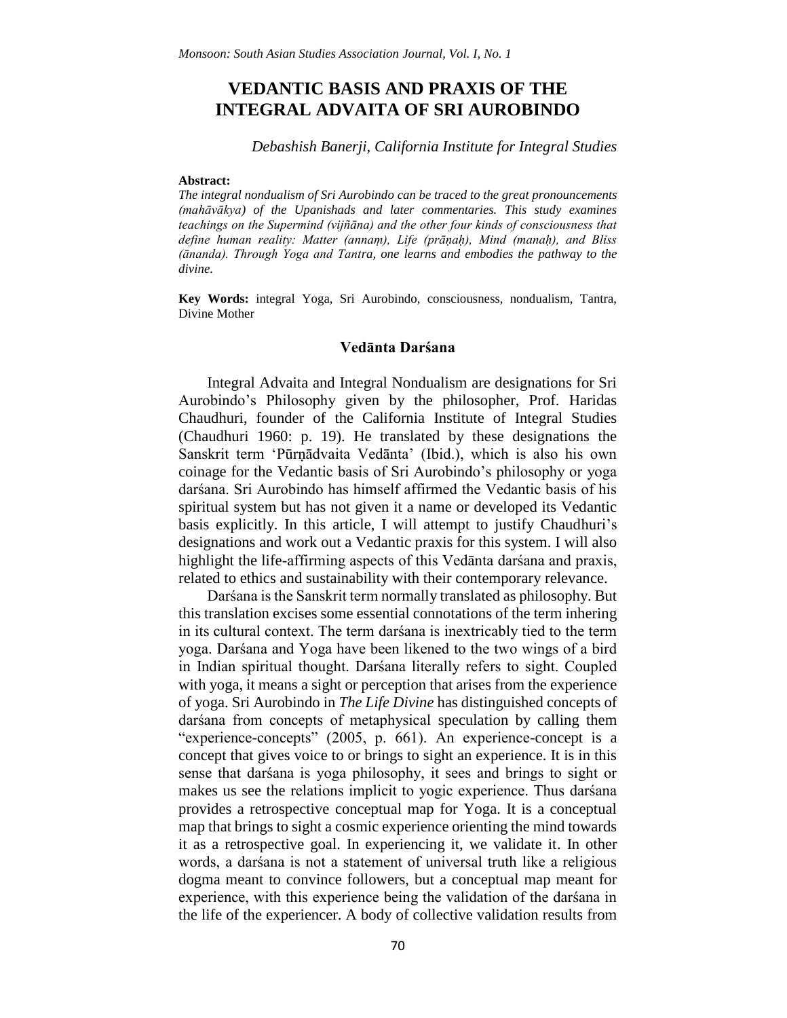## **VEDANTIC BASIS AND PRAXIS OF THE INTEGRAL ADVAITA OF SRI AUROBINDO**

#### *Debashish Banerji, California Institute for Integral Studies*

#### **Abstract:**

*The integral nondualism of Sri Aurobindo can be traced to the great pronouncements (mahāvākya) of the Upanishads and later commentaries. This study examines teachings on the Supermind (vijñāna) and the other four kinds of consciousness that define human reality: Matter (annaṃ), Life (prāṇaḥ), Mind (manaḥ), and Bliss (ānanda). Through Yoga and Tantra, one learns and embodies the pathway to the divine.*

**Key Words:** integral Yoga, Sri Aurobindo, consciousness, nondualism, Tantra, Divine Mother

#### **Vedānta Darśana**

Integral Advaita and Integral Nondualism are designations for Sri Aurobindo's Philosophy given by the philosopher, Prof. Haridas Chaudhuri, founder of the California Institute of Integral Studies (Chaudhuri 1960: p. 19). He translated by these designations the Sanskrit term 'Pūrṇādvaita Vedānta' (Ibid.), which is also his own coinage for the Vedantic basis of Sri Aurobindo's philosophy or yoga darśana. Sri Aurobindo has himself affirmed the Vedantic basis of his spiritual system but has not given it a name or developed its Vedantic basis explicitly. In this article, I will attempt to justify Chaudhuri's designations and work out a Vedantic praxis for this system. I will also highlight the life-affirming aspects of this Vedānta darśana and praxis, related to ethics and sustainability with their contemporary relevance.

Darśana is the Sanskrit term normally translated as philosophy. But this translation excises some essential connotations of the term inhering in its cultural context. The term darśana is inextricably tied to the term yoga. Darśana and Yoga have been likened to the two wings of a bird in Indian spiritual thought. Darśana literally refers to sight. Coupled with yoga, it means a sight or perception that arises from the experience of yoga. Sri Aurobindo in *The Life Divine* has distinguished concepts of darśana from concepts of metaphysical speculation by calling them "experience-concepts" (2005, p. 661). An experience-concept is a concept that gives voice to or brings to sight an experience. It is in this sense that darśana is yoga philosophy, it sees and brings to sight or makes us see the relations implicit to yogic experience. Thus darśana provides a retrospective conceptual map for Yoga. It is a conceptual map that brings to sight a cosmic experience orienting the mind towards it as a retrospective goal. In experiencing it, we validate it. In other words, a darśana is not a statement of universal truth like a religious dogma meant to convince followers, but a conceptual map meant for experience, with this experience being the validation of the darśana in the life of the experiencer. A body of collective validation results from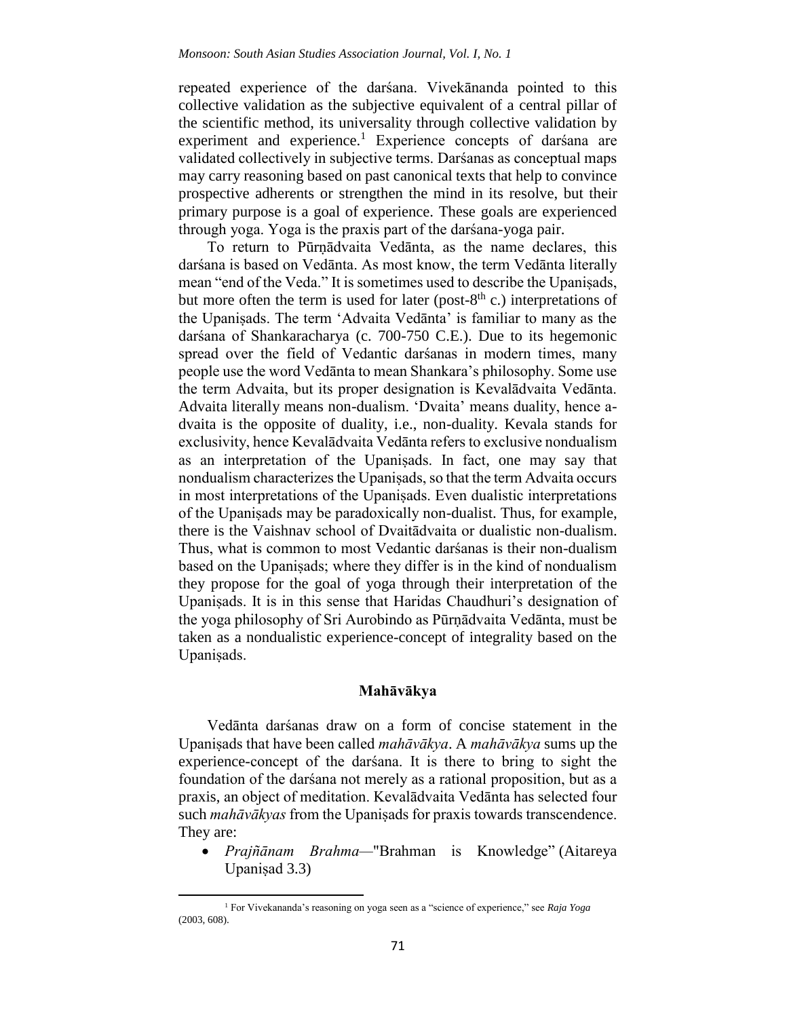repeated experience of the darśana. Vivekānanda pointed to this collective validation as the subjective equivalent of a central pillar of the scientific method, its universality through collective validation by experiment and experience.<sup>1</sup> Experience concepts of darsana are validated collectively in subjective terms. Darśanas as conceptual maps may carry reasoning based on past canonical texts that help to convince prospective adherents or strengthen the mind in its resolve, but their primary purpose is a goal of experience. These goals are experienced through yoga. Yoga is the praxis part of the darśana-yoga pair.

To return to Pūrṇādvaita Vedānta, as the name declares, this darśana is based on Vedānta. As most know, the term Vedānta literally mean "end of the Veda." It is sometimes used to describe the Upaniṣads, but more often the term is used for later (post- $8<sup>th</sup>$  c.) interpretations of the Upaniṣads. The term 'Advaita Vedānta' is familiar to many as the darśana of Shankaracharya (c. 700-750 C.E.). Due to its hegemonic spread over the field of Vedantic darśanas in modern times, many people use the word Vedānta to mean Shankara's philosophy. Some use the term Advaita, but its proper designation is Kevalādvaita Vedānta. Advaita literally means non-dualism. 'Dvaita' means duality, hence advaita is the opposite of duality, i.e., non-duality. Kevala stands for exclusivity, hence Kevalādvaita Vedānta refers to exclusive nondualism as an interpretation of the Upaniṣads. In fact, one may say that nondualism characterizes the Upaniṣads, so that the term Advaita occurs in most interpretations of the Upaniṣads. Even dualistic interpretations of the Upaniṣads may be paradoxically non-dualist. Thus, for example, there is the Vaishnav school of Dvaitādvaita or dualistic non-dualism. Thus, what is common to most Vedantic darśanas is their non-dualism based on the Upaniṣads; where they differ is in the kind of nondualism they propose for the goal of yoga through their interpretation of the Upaniṣads. It is in this sense that Haridas Chaudhuri's designation of the yoga philosophy of Sri Aurobindo as Pūrṇādvaita Vedānta, must be taken as a nondualistic experience-concept of integrality based on the Upaniṣads.

#### **Mahāvākya**

Vedānta darśanas draw on a form of concise statement in the Upaniṣads that have been called *mahāvākya*. A *mahāvākya* sums up the experience-concept of the darśana. It is there to bring to sight the foundation of the darśana not merely as a rational proposition, but as a praxis, an object of meditation. Kevalādvaita Vedānta has selected four such *mahāvākyas* from the Upaniṣads for praxis towards transcendence. They are:

 *Prajñānam Brahma—*"Brahman is Knowledge" (Aitareya Upaniṣad 3.3)

<sup>1</sup> For Vivekananda's reasoning on yoga seen as a "science of experience," see *Raja Yoga* (2003, 608).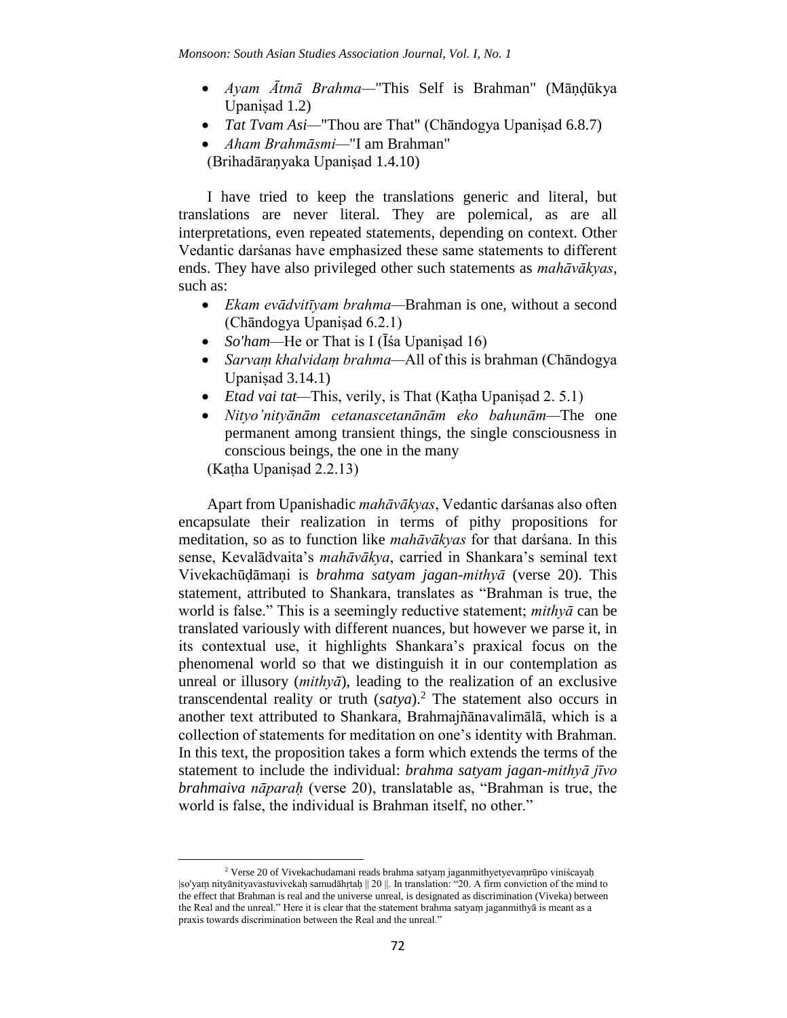- *Ayam Ātmā Brahma—*"This Self is Brahman" (Māṇḍūkya Upaniṣad 1.2)
- *Tat Tvam Asi*—"Thou are That" (Chāndogya Upanisad 6.8.7)
- *Aham Brahmāsmi—*"I am Brahman" (Brihadāraṇyaka Upaniṣad 1.4.10)

I have tried to keep the translations generic and literal, but translations are never literal. They are polemical, as are all interpretations, even repeated statements, depending on context. Other Vedantic darśanas have emphasized these same statements to different ends. They have also privileged other such statements as *mahāvākyas*, such as:

- *Ekam evādvitīyam brahma—*Brahman is one, without a second (Chāndogya Upaniṣad 6.2.1)
- *So'ham*—He or That is I (Īśa Upanisad 16)
- *Sarvaṃ khalvidaṃ brahma—*All of this is brahman (Chāndogya Upanisad  $3.14.1$ )
- *Etad vai tat—*This, verily, is That (Kaṭha Upaniṣad 2. 5.1)
- *Nityo'nityānām cetanascetanānām eko bahunām—*The one permanent among transient things, the single consciousness in conscious beings, the one in the many

(Kaṭha Upaniṣad 2.2.13)

 $\overline{a}$ 

Apart from Upanishadic *mahāvākyas*, Vedantic darśanas also often encapsulate their realization in terms of pithy propositions for meditation, so as to function like *mahāvākyas* for that darśana. In this sense, Kevalādvaita's *mahāvākya*, carried in Shankara's seminal text Vivekachūḍāmaṇi is *brahma satyam jagan-mithyā* (verse 20). This statement, attributed to Shankara, translates as "Brahman is true, the world is false." This is a seemingly reductive statement; *mithyā* can be translated variously with different nuances, but however we parse it, in its contextual use, it highlights Shankara's praxical focus on the phenomenal world so that we distinguish it in our contemplation as unreal or illusory (*mithyā*), leading to the realization of an exclusive transcendental reality or truth (*satya*).<sup>2</sup> The statement also occurs in another text attributed to Shankara, Brahmajñānavalimālā, which is a collection of statements for meditation on one's identity with Brahman. In this text, the proposition takes a form which extends the terms of the statement to include the individual: *brahma satyam jagan-mithyā jīvo brahmaiva nāparaḥ* (verse 20), translatable as, "Brahman is true, the world is false, the individual is Brahman itself, no other."

<sup>2</sup> Verse 20 of Vivekachudamani reads brahma satyaṃ jaganmithyetyevaṃrūpo viniścayaḥ |so'yaṃ nityānityavastuvivekaḥ samudāhṛtaḥ || 20 ||. In translation: "20. A firm conviction of the mind to the effect that Brahman is real and the universe unreal, is designated as discrimination (Viveka) between the Real and the unreal." Here it is clear that the statement brahma satyaṃ jaganmithyā is meant as a praxis towards discrimination between the Real and the unreal."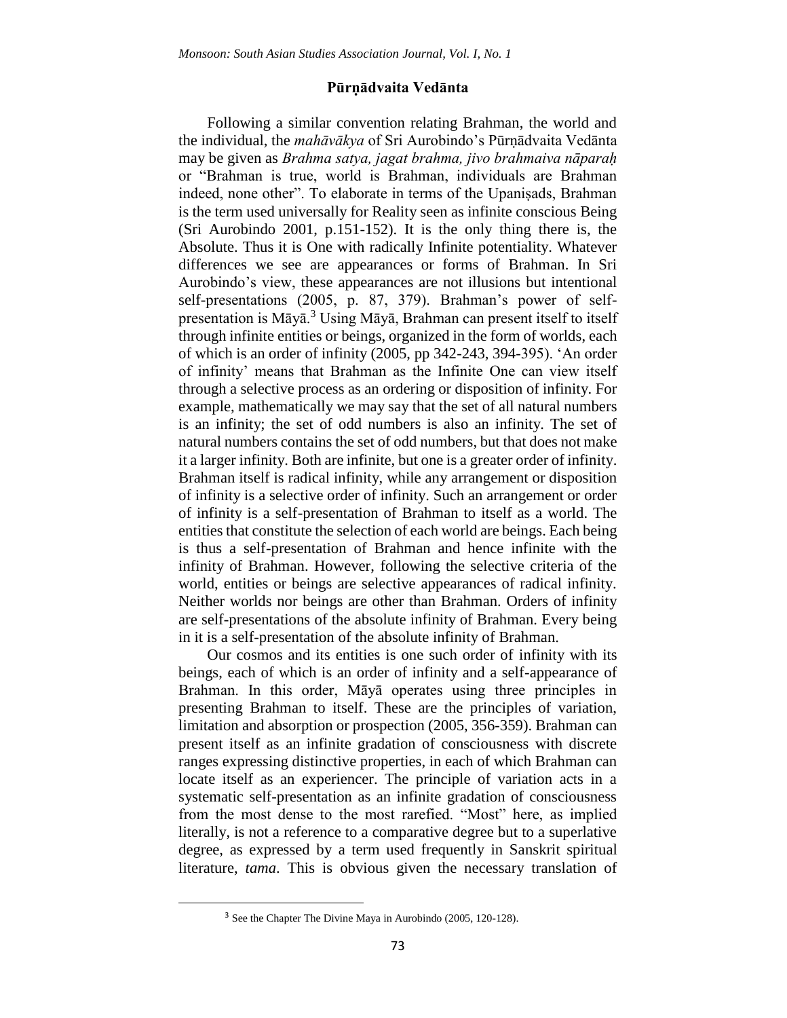#### **Pūrṇādvaita Vedānta**

Following a similar convention relating Brahman, the world and the individual, the *mahāvākya* of Sri Aurobindo's Pūrṇādvaita Vedānta may be given as *Brahma satya, jagat brahma, jivo brahmaiva nāparaḥ*  or "Brahman is true, world is Brahman, individuals are Brahman indeed, none other". To elaborate in terms of the Upanisads, Brahman is the term used universally for Reality seen as infinite conscious Being (Sri Aurobindo 2001, p.151-152). It is the only thing there is, the Absolute. Thus it is One with radically Infinite potentiality. Whatever differences we see are appearances or forms of Brahman. In Sri Aurobindo's view, these appearances are not illusions but intentional self-presentations (2005, p. 87, 379). Brahman's power of selfpresentation is Māyā.<sup>3</sup> Using Māyā, Brahman can present itself to itself through infinite entities or beings, organized in the form of worlds, each of which is an order of infinity (2005, pp 342-243, 394-395). 'An order of infinity' means that Brahman as the Infinite One can view itself through a selective process as an ordering or disposition of infinity. For example, mathematically we may say that the set of all natural numbers is an infinity; the set of odd numbers is also an infinity. The set of natural numbers contains the set of odd numbers, but that does not make it a larger infinity. Both are infinite, but one is a greater order of infinity. Brahman itself is radical infinity, while any arrangement or disposition of infinity is a selective order of infinity. Such an arrangement or order of infinity is a self-presentation of Brahman to itself as a world. The entities that constitute the selection of each world are beings. Each being is thus a self-presentation of Brahman and hence infinite with the infinity of Brahman. However, following the selective criteria of the world, entities or beings are selective appearances of radical infinity. Neither worlds nor beings are other than Brahman. Orders of infinity are self-presentations of the absolute infinity of Brahman. Every being in it is a self-presentation of the absolute infinity of Brahman.

Our cosmos and its entities is one such order of infinity with its beings, each of which is an order of infinity and a self-appearance of Brahman. In this order, Māyā operates using three principles in presenting Brahman to itself. These are the principles of variation, limitation and absorption or prospection (2005, 356-359). Brahman can present itself as an infinite gradation of consciousness with discrete ranges expressing distinctive properties, in each of which Brahman can locate itself as an experiencer. The principle of variation acts in a systematic self-presentation as an infinite gradation of consciousness from the most dense to the most rarefied. "Most" here, as implied literally, is not a reference to a comparative degree but to a superlative degree, as expressed by a term used frequently in Sanskrit spiritual literature, *tama*. This is obvious given the necessary translation of

<sup>3</sup> See the Chapter The Divine Maya in Aurobindo (2005, 120-128).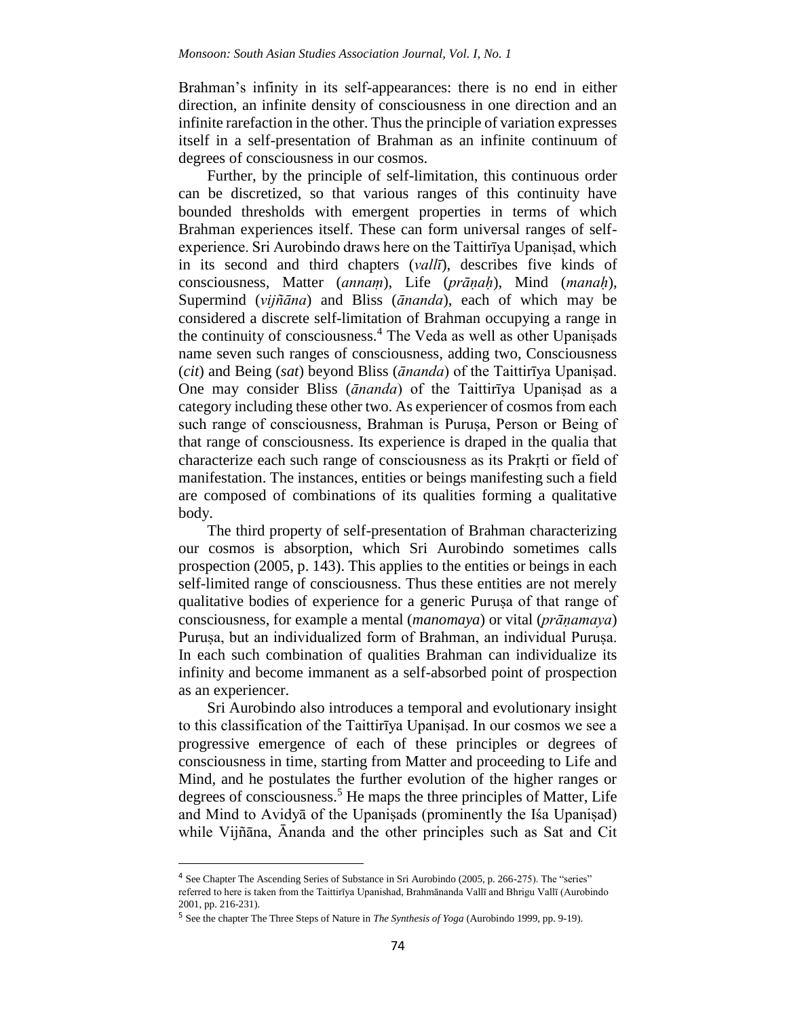Brahman's infinity in its self-appearances: there is no end in either direction, an infinite density of consciousness in one direction and an infinite rarefaction in the other. Thus the principle of variation expresses itself in a self-presentation of Brahman as an infinite continuum of degrees of consciousness in our cosmos.

Further, by the principle of self-limitation, this continuous order can be discretized, so that various ranges of this continuity have bounded thresholds with emergent properties in terms of which Brahman experiences itself. These can form universal ranges of selfexperience. Sri Aurobindo draws here on the Taittirīya Upaniṣad, which in its second and third chapters (*vallī*), describes five kinds of consciousness, Matter (*annaṃ*), Life (*prāṇaḥ*), Mind (*manaḥ*), Supermind (*vijñāna*) and Bliss (*ānanda*), each of which may be considered a discrete self-limitation of Brahman occupying a range in the continuity of consciousness.<sup>4</sup> The Veda as well as other Upaniṣads name seven such ranges of consciousness, adding two, Consciousness (*cit*) and Being (*sat*) beyond Bliss (*ānanda*) of the Taittirīya Upaniṣad. One may consider Bliss (*ānanda*) of the Taittirīya Upaniṣad as a category including these other two. As experiencer of cosmos from each such range of consciousness, Brahman is Puruṣa, Person or Being of that range of consciousness. Its experience is draped in the qualia that characterize each such range of consciousness as its Prakṛti or field of manifestation. The instances, entities or beings manifesting such a field are composed of combinations of its qualities forming a qualitative body.

The third property of self-presentation of Brahman characterizing our cosmos is absorption, which Sri Aurobindo sometimes calls prospection (2005, p. 143). This applies to the entities or beings in each self-limited range of consciousness. Thus these entities are not merely qualitative bodies of experience for a generic Puruṣa of that range of consciousness, for example a mental (*manomaya*) or vital (*prāṇamaya*) Purusa, but an individualized form of Brahman, an individual Purusa. In each such combination of qualities Brahman can individualize its infinity and become immanent as a self-absorbed point of prospection as an experiencer.

Sri Aurobindo also introduces a temporal and evolutionary insight to this classification of the Taittirīya Upaniṣad. In our cosmos we see a progressive emergence of each of these principles or degrees of consciousness in time, starting from Matter and proceeding to Life and Mind, and he postulates the further evolution of the higher ranges or degrees of consciousness.<sup>5</sup> He maps the three principles of Matter, Life and Mind to Avidyā of the Upaniṣads (prominently the Iśa Upaniṣad) while Vijñāna, Ānanda and the other principles such as Sat and Cit

<sup>&</sup>lt;sup>4</sup> See Chapter The Ascending Series of Substance in Sri Aurobindo (2005, p. 266-275). The "series" referred to here is taken from the Taittirīya Upanishad, Brahmānanda Vallī and Bhrigu Vallī (Aurobindo 2001, pp. 216-231).

<sup>5</sup> See the chapter The Three Steps of Nature in *The Synthesis of Yoga* (Aurobindo 1999, pp. 9-19).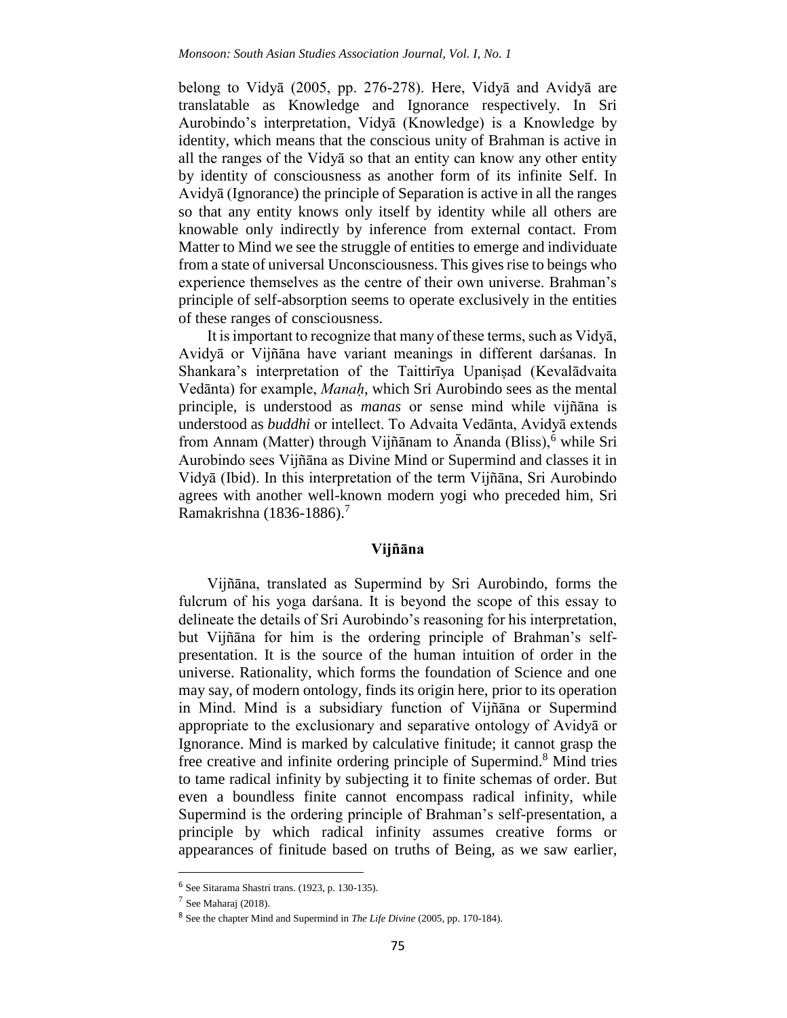belong to Vidyā (2005, pp. 276-278). Here, Vidyā and Avidyā are translatable as Knowledge and Ignorance respectively. In Sri Aurobindo's interpretation, Vidyā (Knowledge) is a Knowledge by identity, which means that the conscious unity of Brahman is active in all the ranges of the Vidyā so that an entity can know any other entity by identity of consciousness as another form of its infinite Self. In Avidyā (Ignorance) the principle of Separation is active in all the ranges so that any entity knows only itself by identity while all others are knowable only indirectly by inference from external contact. From Matter to Mind we see the struggle of entities to emerge and individuate from a state of universal Unconsciousness. This gives rise to beings who experience themselves as the centre of their own universe. Brahman's principle of self-absorption seems to operate exclusively in the entities of these ranges of consciousness.

It is important to recognize that many of these terms, such as Vidyā, Avidyā or Vijñāna have variant meanings in different darśanas. In Shankara's interpretation of the Taittirīya Upaniṣad (Kevalādvaita Vedānta) for example, *Manaḥ*, which Sri Aurobindo sees as the mental principle, is understood as *manas* or sense mind while vijñāna is understood as *buddhi* or intellect. To Advaita Vedānta, Avidyā extends from Annam (Matter) through Vijñānam to Ānanda (Bliss), $\frac{6}{9}$  while Sri Aurobindo sees Vijñāna as Divine Mind or Supermind and classes it in Vidyā (Ibid). In this interpretation of the term Vijñāna, Sri Aurobindo agrees with another well-known modern yogi who preceded him, Sri Ramakrishna (1836-1886).<sup>7</sup>

#### **Vijñāna**

Vijñāna, translated as Supermind by Sri Aurobindo, forms the fulcrum of his yoga darśana. It is beyond the scope of this essay to delineate the details of Sri Aurobindo's reasoning for his interpretation, but Vijñāna for him is the ordering principle of Brahman's selfpresentation. It is the source of the human intuition of order in the universe. Rationality, which forms the foundation of Science and one may say, of modern ontology, finds its origin here, prior to its operation in Mind. Mind is a subsidiary function of Vijñāna or Supermind appropriate to the exclusionary and separative ontology of Avidyā or Ignorance. Mind is marked by calculative finitude; it cannot grasp the free creative and infinite ordering principle of Supermind.<sup>8</sup> Mind tries to tame radical infinity by subjecting it to finite schemas of order. But even a boundless finite cannot encompass radical infinity, while Supermind is the ordering principle of Brahman's self-presentation, a principle by which radical infinity assumes creative forms or appearances of finitude based on truths of Being, as we saw earlier,

<sup>6</sup> See Sitarama Shastri trans. (1923, p. 130-135).

<sup>7</sup> See Maharaj (2018).

<sup>8</sup> See the chapter Mind and Supermind in *The Life Divine* (2005, pp. 170-184).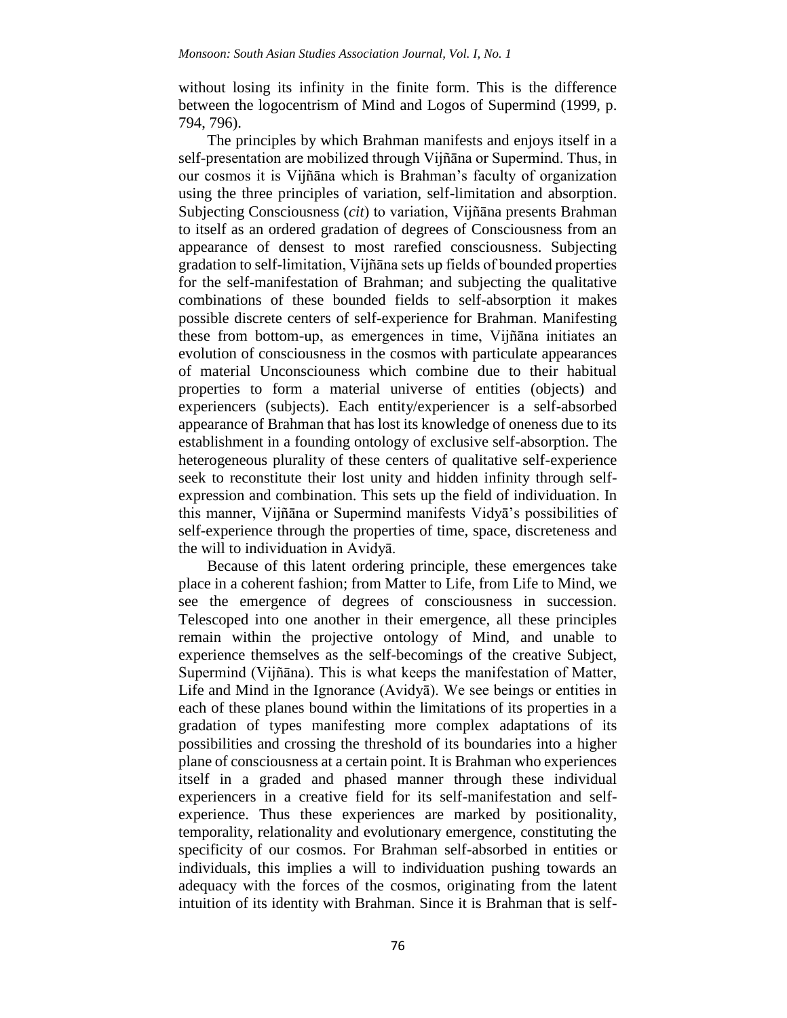without losing its infinity in the finite form. This is the difference between the logocentrism of Mind and Logos of Supermind (1999, p. 794, 796).

The principles by which Brahman manifests and enjoys itself in a self-presentation are mobilized through Vijñāna or Supermind. Thus, in our cosmos it is Vijñāna which is Brahman's faculty of organization using the three principles of variation, self-limitation and absorption. Subjecting Consciousness (*cit*) to variation, Vijñāna presents Brahman to itself as an ordered gradation of degrees of Consciousness from an appearance of densest to most rarefied consciousness. Subjecting gradation to self-limitation, Vijñāna sets up fields of bounded properties for the self-manifestation of Brahman; and subjecting the qualitative combinations of these bounded fields to self-absorption it makes possible discrete centers of self-experience for Brahman. Manifesting these from bottom-up, as emergences in time, Vijñāna initiates an evolution of consciousness in the cosmos with particulate appearances of material Unconsciouness which combine due to their habitual properties to form a material universe of entities (objects) and experiencers (subjects). Each entity/experiencer is a self-absorbed appearance of Brahman that has lost its knowledge of oneness due to its establishment in a founding ontology of exclusive self-absorption. The heterogeneous plurality of these centers of qualitative self-experience seek to reconstitute their lost unity and hidden infinity through selfexpression and combination. This sets up the field of individuation. In this manner, Vijñāna or Supermind manifests Vidyā's possibilities of self-experience through the properties of time, space, discreteness and the will to individuation in Avidyā.

Because of this latent ordering principle, these emergences take place in a coherent fashion; from Matter to Life, from Life to Mind, we see the emergence of degrees of consciousness in succession. Telescoped into one another in their emergence, all these principles remain within the projective ontology of Mind, and unable to experience themselves as the self-becomings of the creative Subject, Supermind (Vijñāna). This is what keeps the manifestation of Matter, Life and Mind in the Ignorance (Avidyā). We see beings or entities in each of these planes bound within the limitations of its properties in a gradation of types manifesting more complex adaptations of its possibilities and crossing the threshold of its boundaries into a higher plane of consciousness at a certain point. It is Brahman who experiences itself in a graded and phased manner through these individual experiencers in a creative field for its self-manifestation and selfexperience. Thus these experiences are marked by positionality, temporality, relationality and evolutionary emergence, constituting the specificity of our cosmos. For Brahman self-absorbed in entities or individuals, this implies a will to individuation pushing towards an adequacy with the forces of the cosmos, originating from the latent intuition of its identity with Brahman. Since it is Brahman that is self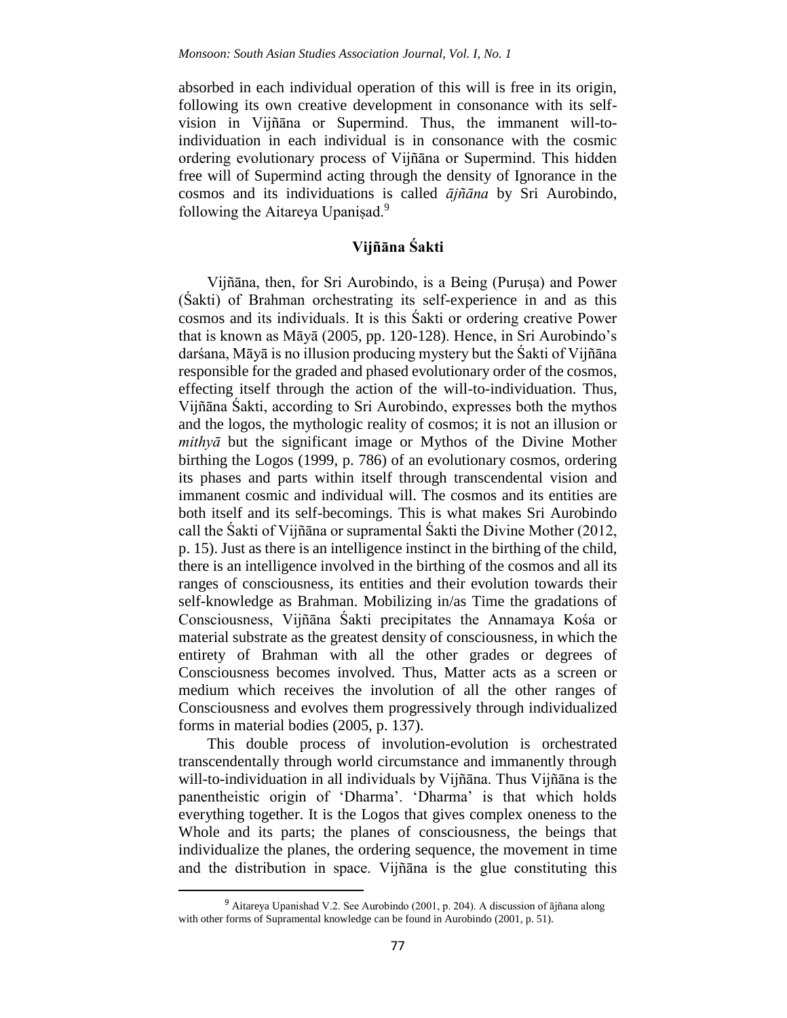absorbed in each individual operation of this will is free in its origin, following its own creative development in consonance with its selfvision in Vijñāna or Supermind. Thus, the immanent will-toindividuation in each individual is in consonance with the cosmic ordering evolutionary process of Vijñāna or Supermind. This hidden free will of Supermind acting through the density of Ignorance in the cosmos and its individuations is called *ājñāna* by Sri Aurobindo, following the Aitareya Upanisad.<sup>9</sup>

### **Vijñāna Śakti**

Vijñāna, then, for Sri Aurobindo, is a Being (Puruṣa) and Power (Śakti) of Brahman orchestrating its self-experience in and as this cosmos and its individuals. It is this Śakti or ordering creative Power that is known as Māyā (2005, pp. 120-128). Hence, in Sri Aurobindo's darśana, Māyā is no illusion producing mystery but the Śakti of Vijñāna responsible for the graded and phased evolutionary order of the cosmos, effecting itself through the action of the will-to-individuation. Thus, Vijñāna Śakti, according to Sri Aurobindo, expresses both the mythos and the logos, the mythologic reality of cosmos; it is not an illusion or *mithyā* but the significant image or Mythos of the Divine Mother birthing the Logos (1999, p. 786) of an evolutionary cosmos, ordering its phases and parts within itself through transcendental vision and immanent cosmic and individual will. The cosmos and its entities are both itself and its self-becomings. This is what makes Sri Aurobindo call the Śakti of Vijñāna or supramental Śakti the Divine Mother (2012, p. 15). Just as there is an intelligence instinct in the birthing of the child, there is an intelligence involved in the birthing of the cosmos and all its ranges of consciousness, its entities and their evolution towards their self-knowledge as Brahman. Mobilizing in/as Time the gradations of Consciousness, Vijñāna Śakti precipitates the Annamaya Kośa or material substrate as the greatest density of consciousness, in which the entirety of Brahman with all the other grades or degrees of Consciousness becomes involved. Thus, Matter acts as a screen or medium which receives the involution of all the other ranges of Consciousness and evolves them progressively through individualized forms in material bodies (2005, p. 137).

This double process of involution-evolution is orchestrated transcendentally through world circumstance and immanently through will-to-individuation in all individuals by Vijñāna. Thus Vijñāna is the panentheistic origin of 'Dharma'. 'Dharma' is that which holds everything together. It is the Logos that gives complex oneness to the Whole and its parts; the planes of consciousness, the beings that individualize the planes, the ordering sequence, the movement in time and the distribution in space. Vijñāna is the glue constituting this

 $\ddot{\phantom{a}}$ 

<sup>9</sup> Aitareya Upanishad V.2. See Aurobindo (2001, p. 204). A discussion of ājñana along with other forms of Supramental knowledge can be found in Aurobindo (2001, p. 51).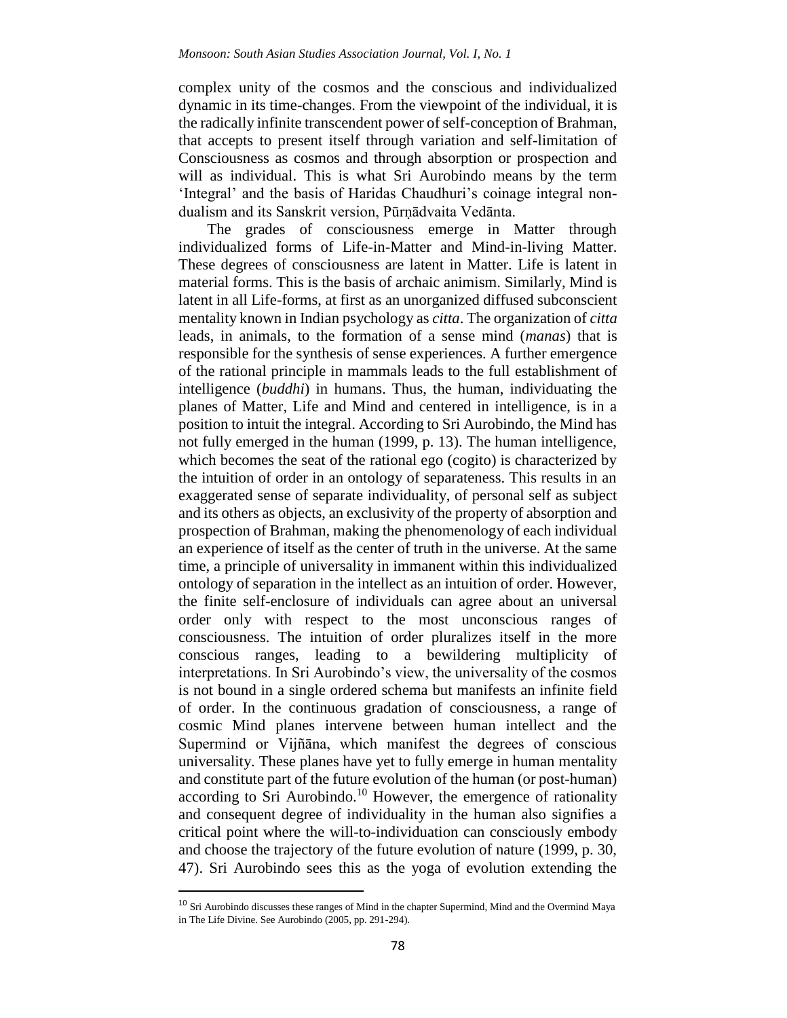complex unity of the cosmos and the conscious and individualized dynamic in its time-changes. From the viewpoint of the individual, it is the radically infinite transcendent power of self-conception of Brahman, that accepts to present itself through variation and self-limitation of Consciousness as cosmos and through absorption or prospection and will as individual. This is what Sri Aurobindo means by the term 'Integral' and the basis of Haridas Chaudhuri's coinage integral nondualism and its Sanskrit version, Pūrṇādvaita Vedānta.

The grades of consciousness emerge in Matter through individualized forms of Life-in-Matter and Mind-in-living Matter. These degrees of consciousness are latent in Matter. Life is latent in material forms. This is the basis of archaic animism. Similarly, Mind is latent in all Life-forms, at first as an unorganized diffused subconscient mentality known in Indian psychology as *citta*. The organization of *citta* leads, in animals, to the formation of a sense mind (*manas*) that is responsible for the synthesis of sense experiences. A further emergence of the rational principle in mammals leads to the full establishment of intelligence (*buddhi*) in humans. Thus, the human, individuating the planes of Matter, Life and Mind and centered in intelligence, is in a position to intuit the integral. According to Sri Aurobindo, the Mind has not fully emerged in the human (1999, p. 13). The human intelligence, which becomes the seat of the rational ego (cogito) is characterized by the intuition of order in an ontology of separateness. This results in an exaggerated sense of separate individuality, of personal self as subject and its others as objects, an exclusivity of the property of absorption and prospection of Brahman, making the phenomenology of each individual an experience of itself as the center of truth in the universe. At the same time, a principle of universality in immanent within this individualized ontology of separation in the intellect as an intuition of order. However, the finite self-enclosure of individuals can agree about an universal order only with respect to the most unconscious ranges of consciousness. The intuition of order pluralizes itself in the more conscious ranges, leading to a bewildering multiplicity of interpretations. In Sri Aurobindo's view, the universality of the cosmos is not bound in a single ordered schema but manifests an infinite field of order. In the continuous gradation of consciousness, a range of cosmic Mind planes intervene between human intellect and the Supermind or Vijñāna, which manifest the degrees of conscious universality. These planes have yet to fully emerge in human mentality and constitute part of the future evolution of the human (or post-human) according to Sri Aurobindo.<sup>10</sup> However, the emergence of rationality and consequent degree of individuality in the human also signifies a critical point where the will-to-individuation can consciously embody and choose the trajectory of the future evolution of nature (1999, p. 30, 47). Sri Aurobindo sees this as the yoga of evolution extending the

<sup>&</sup>lt;sup>10</sup> Sri Aurobindo discusses these ranges of Mind in the chapter Supermind, Mind and the Overmind Maya in The Life Divine. See Aurobindo (2005, pp. 291-294).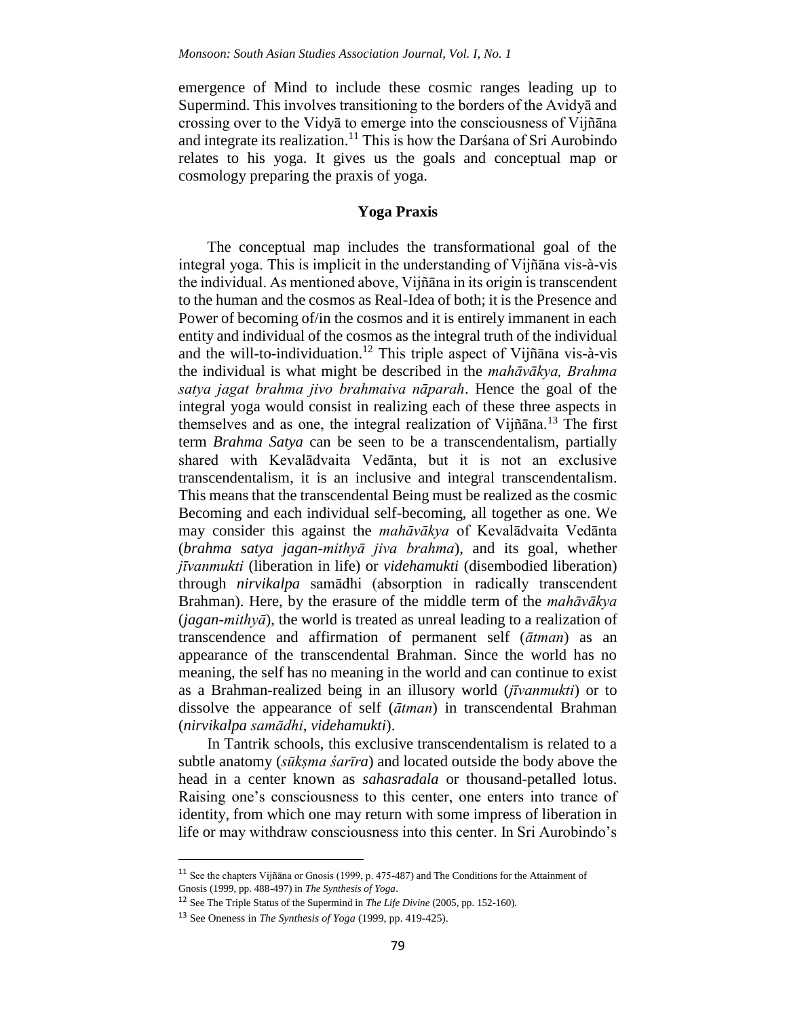emergence of Mind to include these cosmic ranges leading up to Supermind. This involves transitioning to the borders of the Avidyā and crossing over to the Vidyā to emerge into the consciousness of Vijñāna and integrate its realization.<sup>11</sup> This is how the Darsana of Sri Aurobindo relates to his yoga. It gives us the goals and conceptual map or cosmology preparing the praxis of yoga.

#### **Yoga Praxis**

The conceptual map includes the transformational goal of the integral yoga. This is implicit in the understanding of Vijñāna vis-à-vis the individual. As mentioned above, Vijñāna in its origin is transcendent to the human and the cosmos as Real-Idea of both; it is the Presence and Power of becoming of/in the cosmos and it is entirely immanent in each entity and individual of the cosmos as the integral truth of the individual and the will-to-individuation.<sup>12</sup> This triple aspect of Vijñāna vis-à-vis the individual is what might be described in the *mahāvākya, Brahma satya jagat brahma jivo brahmaiva nāparah*. Hence the goal of the integral yoga would consist in realizing each of these three aspects in themselves and as one, the integral realization of Vijñāna.<sup>13</sup> The first term *Brahma Satya* can be seen to be a transcendentalism, partially shared with Kevalādvaita Vedānta, but it is not an exclusive transcendentalism, it is an inclusive and integral transcendentalism. This means that the transcendental Being must be realized as the cosmic Becoming and each individual self-becoming, all together as one. We may consider this against the *mahāvākya* of Kevalādvaita Vedānta (*brahma satya jagan-mithyā jiva brahma*), and its goal, whether *jīvanmukti* (liberation in life) or *videhamukti* (disembodied liberation) through *nirvikalpa* samādhi (absorption in radically transcendent Brahman). Here, by the erasure of the middle term of the *mahāvākya* (*jagan-mithyā*), the world is treated as unreal leading to a realization of transcendence and affirmation of permanent self (*ātman*) as an appearance of the transcendental Brahman. Since the world has no meaning, the self has no meaning in the world and can continue to exist as a Brahman-realized being in an illusory world (*jīvanmukti*) or to dissolve the appearance of self (*ātman*) in transcendental Brahman (*nirvikalpa samādhi*, *videhamukti*).

In Tantrik schools, this exclusive transcendentalism is related to a subtle anatomy (*sūkṣma śarīra*) and located outside the body above the head in a center known as *sahasradala* or thousand-petalled lotus. Raising one's consciousness to this center, one enters into trance of identity, from which one may return with some impress of liberation in life or may withdraw consciousness into this center. In Sri Aurobindo's

<sup>11</sup> See the chapters Vijñāna or Gnosis (1999, p. 475-487) and The Conditions for the Attainment of Gnosis (1999, pp. 488-497) in *The Synthesis of Yoga*.

<sup>12</sup> See The Triple Status of the Supermind in *The Life Divine* (2005, pp. 152-160).

<sup>13</sup> See Oneness in *The Synthesis of Yoga* (1999, pp. 419-425).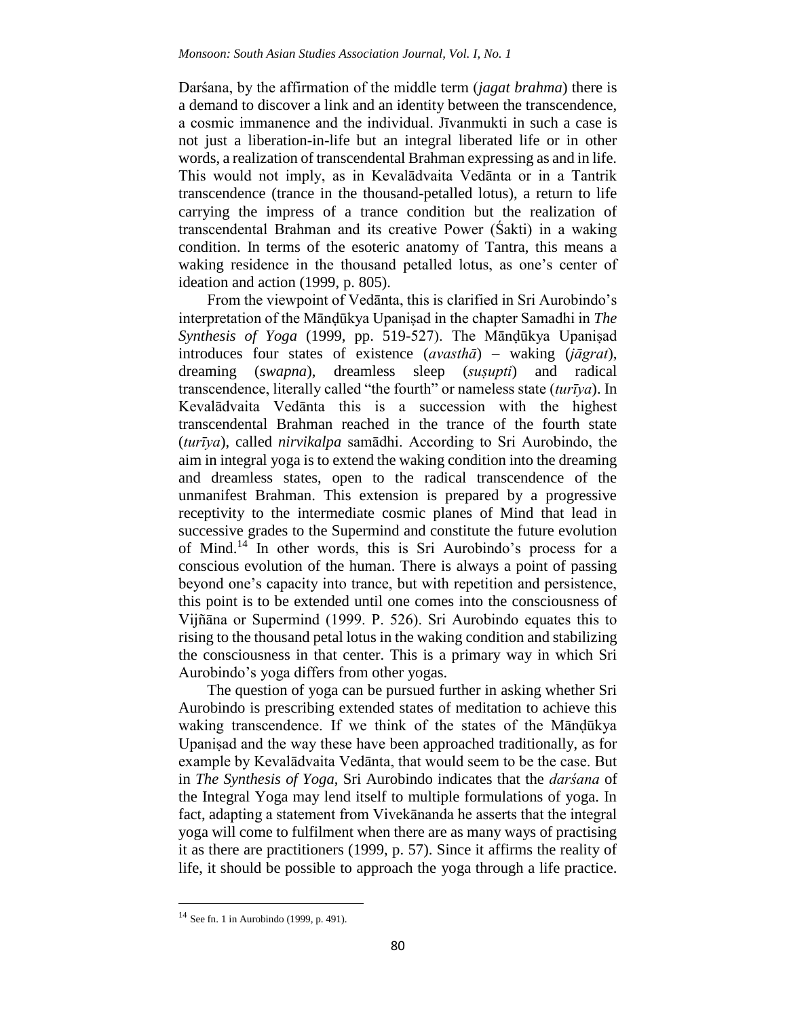Darśana, by the affirmation of the middle term (*jagat brahma*) there is a demand to discover a link and an identity between the transcendence, a cosmic immanence and the individual. Jīvanmukti in such a case is not just a liberation-in-life but an integral liberated life or in other words, a realization of transcendental Brahman expressing as and in life. This would not imply, as in Kevalādvaita Vedānta or in a Tantrik transcendence (trance in the thousand-petalled lotus), a return to life carrying the impress of a trance condition but the realization of transcendental Brahman and its creative Power (Śakti) in a waking condition. In terms of the esoteric anatomy of Tantra, this means a waking residence in the thousand petalled lotus, as one's center of ideation and action (1999, p. 805).

From the viewpoint of Vedānta, this is clarified in Sri Aurobindo's interpretation of the Mānḍūkya Upaniṣad in the chapter Samadhi in *The Synthesis of Yoga* (1999, pp. 519-527). The Mānḍūkya Upaniṣad introduces four states of existence (*avasthā*) – waking (*jāgrat*), dreaming (*swapna*), dreamless sleep (*suṣupti*) and radical transcendence, literally called "the fourth" or nameless state (*turīya*). In Kevalādvaita Vedānta this is a succession with the highest transcendental Brahman reached in the trance of the fourth state (*turīya*), called *nirvikalpa* samādhi. According to Sri Aurobindo, the aim in integral yoga is to extend the waking condition into the dreaming and dreamless states, open to the radical transcendence of the unmanifest Brahman. This extension is prepared by a progressive receptivity to the intermediate cosmic planes of Mind that lead in successive grades to the Supermind and constitute the future evolution of Mind.<sup>14</sup> In other words, this is Sri Aurobindo's process for a conscious evolution of the human. There is always a point of passing beyond one's capacity into trance, but with repetition and persistence, this point is to be extended until one comes into the consciousness of Vijñāna or Supermind (1999. P. 526). Sri Aurobindo equates this to rising to the thousand petal lotus in the waking condition and stabilizing the consciousness in that center. This is a primary way in which Sri Aurobindo's yoga differs from other yogas.

The question of yoga can be pursued further in asking whether Sri Aurobindo is prescribing extended states of meditation to achieve this waking transcendence. If we think of the states of the Mānḍūkya Upaniṣad and the way these have been approached traditionally, as for example by Kevalādvaita Vedānta, that would seem to be the case. But in *The Synthesis of Yoga*, Sri Aurobindo indicates that the *darśana* of the Integral Yoga may lend itself to multiple formulations of yoga. In fact, adapting a statement from Vivekānanda he asserts that the integral yoga will come to fulfilment when there are as many ways of practising it as there are practitioners (1999, p. 57). Since it affirms the reality of life, it should be possible to approach the yoga through a life practice.

<sup>14</sup> See fn. 1 in Aurobindo (1999, p. 491).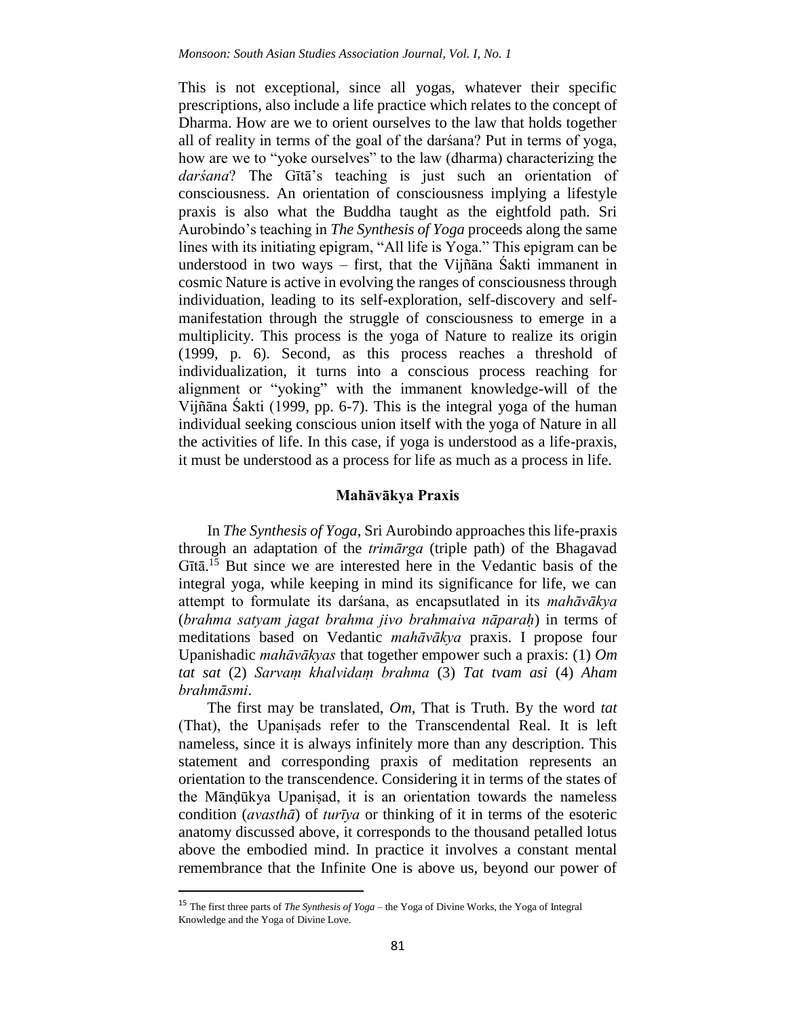This is not exceptional, since all yogas, whatever their specific prescriptions, also include a life practice which relates to the concept of Dharma. How are we to orient ourselves to the law that holds together all of reality in terms of the goal of the darśana? Put in terms of yoga, how are we to "yoke ourselves" to the law (dharma) characterizing the *darśana*? The Gītā's teaching is just such an orientation of consciousness. An orientation of consciousness implying a lifestyle praxis is also what the Buddha taught as the eightfold path. Sri Aurobindo's teaching in *The Synthesis of Yoga* proceeds along the same lines with its initiating epigram, "All life is Yoga." This epigram can be understood in two ways – first, that the Vijñāna Śakti immanent in cosmic Nature is active in evolving the ranges of consciousness through individuation, leading to its self-exploration, self-discovery and selfmanifestation through the struggle of consciousness to emerge in a multiplicity. This process is the yoga of Nature to realize its origin (1999, p. 6). Second, as this process reaches a threshold of individualization, it turns into a conscious process reaching for alignment or "yoking" with the immanent knowledge-will of the Vijñāna Śakti (1999, pp. 6-7). This is the integral yoga of the human individual seeking conscious union itself with the yoga of Nature in all the activities of life. In this case, if yoga is understood as a life-praxis, it must be understood as a process for life as much as a process in life.

#### **Mahāvākya Praxis**

In *The Synthesis of Yoga*, Sri Aurobindo approaches this life-praxis through an adaptation of the *trimārga* (triple path) of the Bhagavad Gītā.<sup>15</sup> But since we are interested here in the Vedantic basis of the integral yoga, while keeping in mind its significance for life, we can attempt to formulate its darśana, as encapsutlated in its *mahāvākya* (*brahma satyam jagat brahma jivo brahmaiva nāparaḥ*) in terms of meditations based on Vedantic *mahāvākya* praxis. I propose four Upanishadic *mahāvākyas* that together empower such a praxis: (1) *Om tat sat* (2) *Sarvaṃ khalvidaṃ brahma* (3) *Tat tvam asi* (4) *Aham brahmāsmi*.

The first may be translated, *Om*, That is Truth. By the word *tat* (That), the Upaniṣads refer to the Transcendental Real. It is left nameless, since it is always infinitely more than any description. This statement and corresponding praxis of meditation represents an orientation to the transcendence. Considering it in terms of the states of the Mānḍūkya Upaniṣad, it is an orientation towards the nameless condition (*avasthā*) of *turīya* or thinking of it in terms of the esoteric anatomy discussed above, it corresponds to the thousand petalled lotus above the embodied mind. In practice it involves a constant mental remembrance that the Infinite One is above us, beyond our power of

<sup>15</sup> The first three parts of *The Synthesis of Yoga* – the Yoga of Divine Works, the Yoga of Integral Knowledge and the Yoga of Divine Love.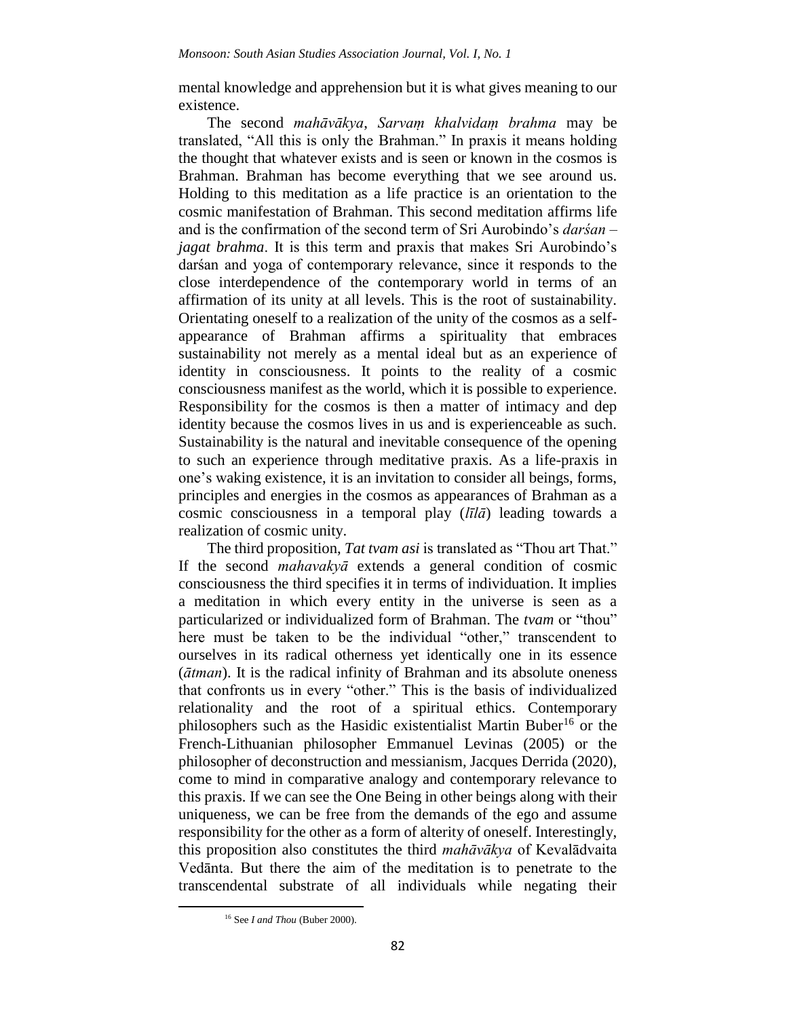mental knowledge and apprehension but it is what gives meaning to our existence.

The second *mahāvākya*, *Sarvaṃ khalvidaṃ brahma* may be translated, "All this is only the Brahman." In praxis it means holding the thought that whatever exists and is seen or known in the cosmos is Brahman. Brahman has become everything that we see around us. Holding to this meditation as a life practice is an orientation to the cosmic manifestation of Brahman. This second meditation affirms life and is the confirmation of the second term of Sri Aurobindo's *darśan* – *jagat brahma*. It is this term and praxis that makes Sri Aurobindo's darśan and yoga of contemporary relevance, since it responds to the close interdependence of the contemporary world in terms of an affirmation of its unity at all levels. This is the root of sustainability. Orientating oneself to a realization of the unity of the cosmos as a selfappearance of Brahman affirms a spirituality that embraces sustainability not merely as a mental ideal but as an experience of identity in consciousness. It points to the reality of a cosmic consciousness manifest as the world, which it is possible to experience. Responsibility for the cosmos is then a matter of intimacy and dep identity because the cosmos lives in us and is experienceable as such. Sustainability is the natural and inevitable consequence of the opening to such an experience through meditative praxis. As a life-praxis in one's waking existence, it is an invitation to consider all beings, forms, principles and energies in the cosmos as appearances of Brahman as a cosmic consciousness in a temporal play (*līlā*) leading towards a realization of cosmic unity.

The third proposition, *Tat tvam asi* is translated as "Thou art That." If the second *mahavakyā* extends a general condition of cosmic consciousness the third specifies it in terms of individuation. It implies a meditation in which every entity in the universe is seen as a particularized or individualized form of Brahman. The *tvam* or "thou" here must be taken to be the individual "other," transcendent to ourselves in its radical otherness yet identically one in its essence (*ātman*). It is the radical infinity of Brahman and its absolute oneness that confronts us in every "other." This is the basis of individualized relationality and the root of a spiritual ethics. Contemporary philosophers such as the Hasidic existentialist Martin Buber<sup>16</sup> or the French-Lithuanian philosopher Emmanuel Levinas (2005) or the philosopher of deconstruction and messianism, Jacques Derrida (2020), come to mind in comparative analogy and contemporary relevance to this praxis. If we can see the One Being in other beings along with their uniqueness, we can be free from the demands of the ego and assume responsibility for the other as a form of alterity of oneself. Interestingly, this proposition also constitutes the third *mahāvākya* of Kevalādvaita Vedānta. But there the aim of the meditation is to penetrate to the transcendental substrate of all individuals while negating their

<sup>16</sup> See *I and Thou* (Buber 2000).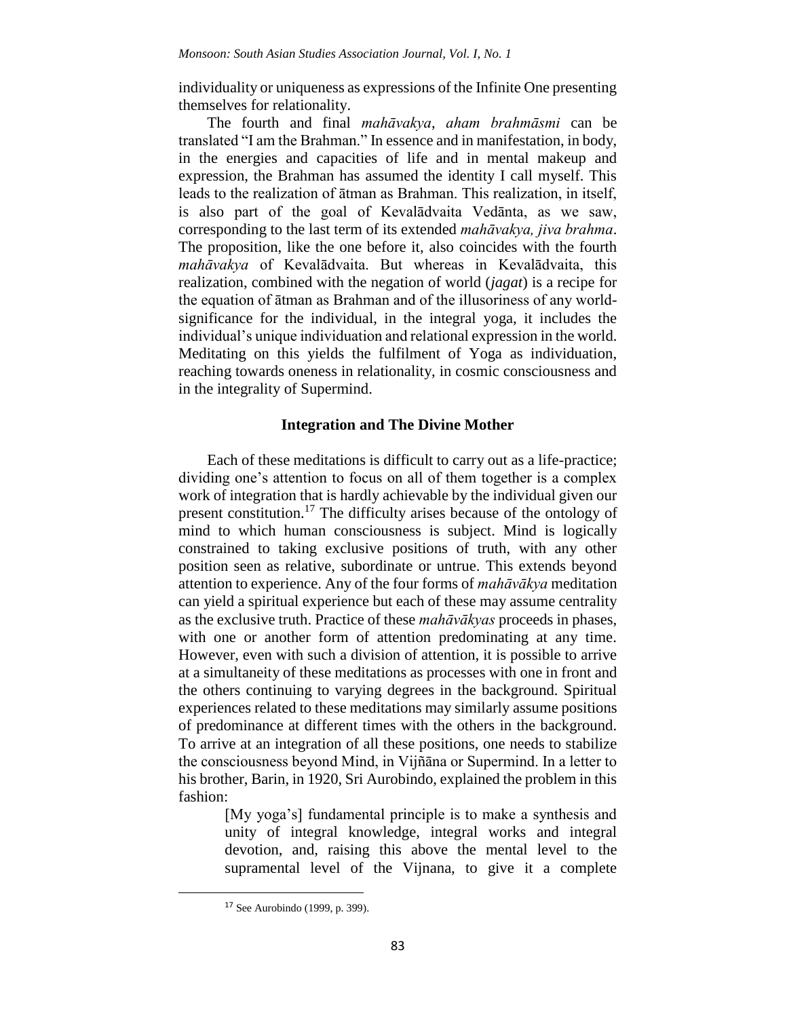individuality or uniqueness as expressions of the Infinite One presenting themselves for relationality.

The fourth and final *mahāvakya*, *aham brahmāsmi* can be translated "I am the Brahman." In essence and in manifestation, in body, in the energies and capacities of life and in mental makeup and expression, the Brahman has assumed the identity I call myself. This leads to the realization of ātman as Brahman. This realization, in itself, is also part of the goal of Kevalādvaita Vedānta, as we saw, corresponding to the last term of its extended *mahāvakya, jiva brahma*. The proposition, like the one before it, also coincides with the fourth *mahāvakya* of Kevalādvaita. But whereas in Kevalādvaita, this realization, combined with the negation of world (*jagat*) is a recipe for the equation of ātman as Brahman and of the illusoriness of any worldsignificance for the individual, in the integral yoga, it includes the individual's unique individuation and relational expression in the world. Meditating on this yields the fulfilment of Yoga as individuation, reaching towards oneness in relationality, in cosmic consciousness and in the integrality of Supermind.

#### **Integration and The Divine Mother**

Each of these meditations is difficult to carry out as a life-practice; dividing one's attention to focus on all of them together is a complex work of integration that is hardly achievable by the individual given our present constitution.<sup>17</sup> The difficulty arises because of the ontology of mind to which human consciousness is subject. Mind is logically constrained to taking exclusive positions of truth, with any other position seen as relative, subordinate or untrue. This extends beyond attention to experience. Any of the four forms of *mahāvākya* meditation can yield a spiritual experience but each of these may assume centrality as the exclusive truth. Practice of these *mahāvākyas* proceeds in phases, with one or another form of attention predominating at any time. However, even with such a division of attention, it is possible to arrive at a simultaneity of these meditations as processes with one in front and the others continuing to varying degrees in the background. Spiritual experiences related to these meditations may similarly assume positions of predominance at different times with the others in the background. To arrive at an integration of all these positions, one needs to stabilize the consciousness beyond Mind, in Vijñāna or Supermind. In a letter to his brother, Barin, in 1920, Sri Aurobindo, explained the problem in this fashion:

> [My yoga's] fundamental principle is to make a synthesis and unity of integral knowledge, integral works and integral devotion, and, raising this above the mental level to the supramental level of the Vijnana, to give it a complete

<sup>17</sup> See Aurobindo (1999, p. 399).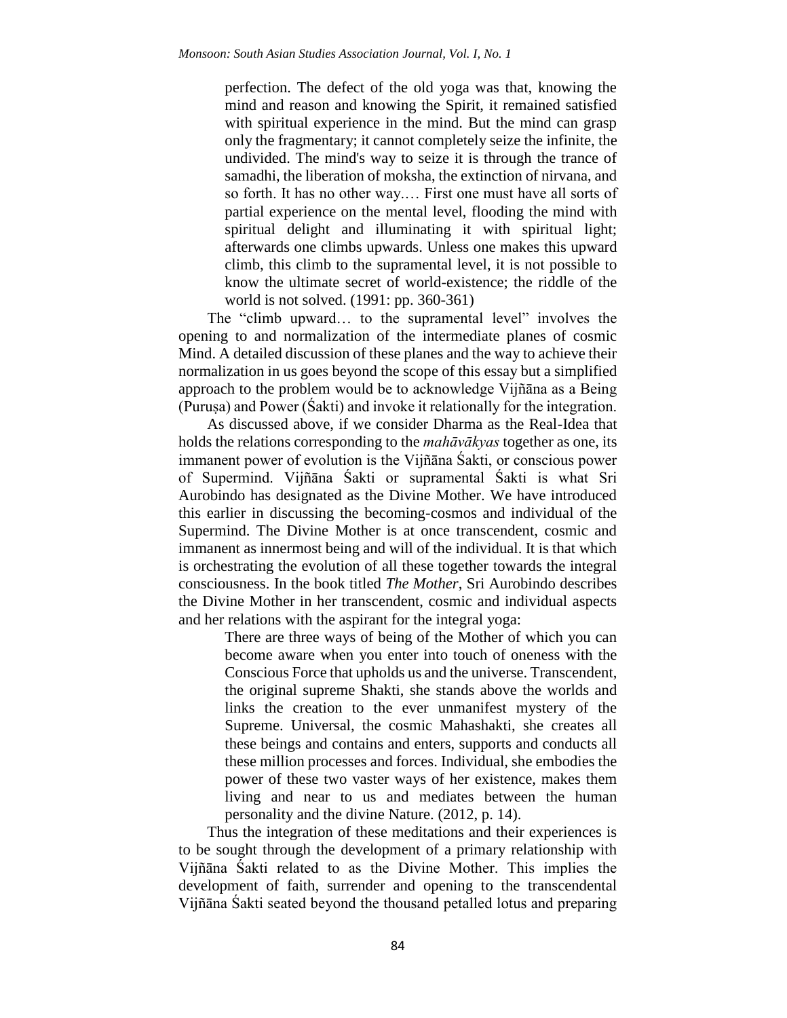perfection. The defect of the old yoga was that, knowing the mind and reason and knowing the Spirit, it remained satisfied with spiritual experience in the mind. But the mind can grasp only the fragmentary; it cannot completely seize the infinite, the undivided. The mind's way to seize it is through the trance of samadhi, the liberation of moksha, the extinction of nirvana, and so forth. It has no other way.… First one must have all sorts of partial experience on the mental level, flooding the mind with spiritual delight and illuminating it with spiritual light; afterwards one climbs upwards. Unless one makes this upward climb, this climb to the supramental level, it is not possible to know the ultimate secret of world-existence; the riddle of the world is not solved. (1991: pp. 360-361)

The "climb upward… to the supramental level" involves the opening to and normalization of the intermediate planes of cosmic Mind. A detailed discussion of these planes and the way to achieve their normalization in us goes beyond the scope of this essay but a simplified approach to the problem would be to acknowledge Vijñāna as a Being (Puruṣa) and Power (Śakti) and invoke it relationally for the integration.

As discussed above, if we consider Dharma as the Real-Idea that holds the relations corresponding to the *mahāvākyas* together as one, its immanent power of evolution is the Vijñāna Śakti, or conscious power of Supermind. Vijñāna Śakti or supramental Śakti is what Sri Aurobindo has designated as the Divine Mother. We have introduced this earlier in discussing the becoming-cosmos and individual of the Supermind. The Divine Mother is at once transcendent, cosmic and immanent as innermost being and will of the individual. It is that which is orchestrating the evolution of all these together towards the integral consciousness. In the book titled *The Mother*, Sri Aurobindo describes the Divine Mother in her transcendent, cosmic and individual aspects and her relations with the aspirant for the integral yoga:

> There are three ways of being of the Mother of which you can become aware when you enter into touch of oneness with the Conscious Force that upholds us and the universe. Transcendent, the original supreme Shakti, she stands above the worlds and links the creation to the ever unmanifest mystery of the Supreme. Universal, the cosmic Mahashakti, she creates all these beings and contains and enters, supports and conducts all these million processes and forces. Individual, she embodies the power of these two vaster ways of her existence, makes them living and near to us and mediates between the human personality and the divine Nature. (2012, p. 14).

Thus the integration of these meditations and their experiences is to be sought through the development of a primary relationship with Vijñāna Śakti related to as the Divine Mother. This implies the development of faith, surrender and opening to the transcendental Vijñāna Śakti seated beyond the thousand petalled lotus and preparing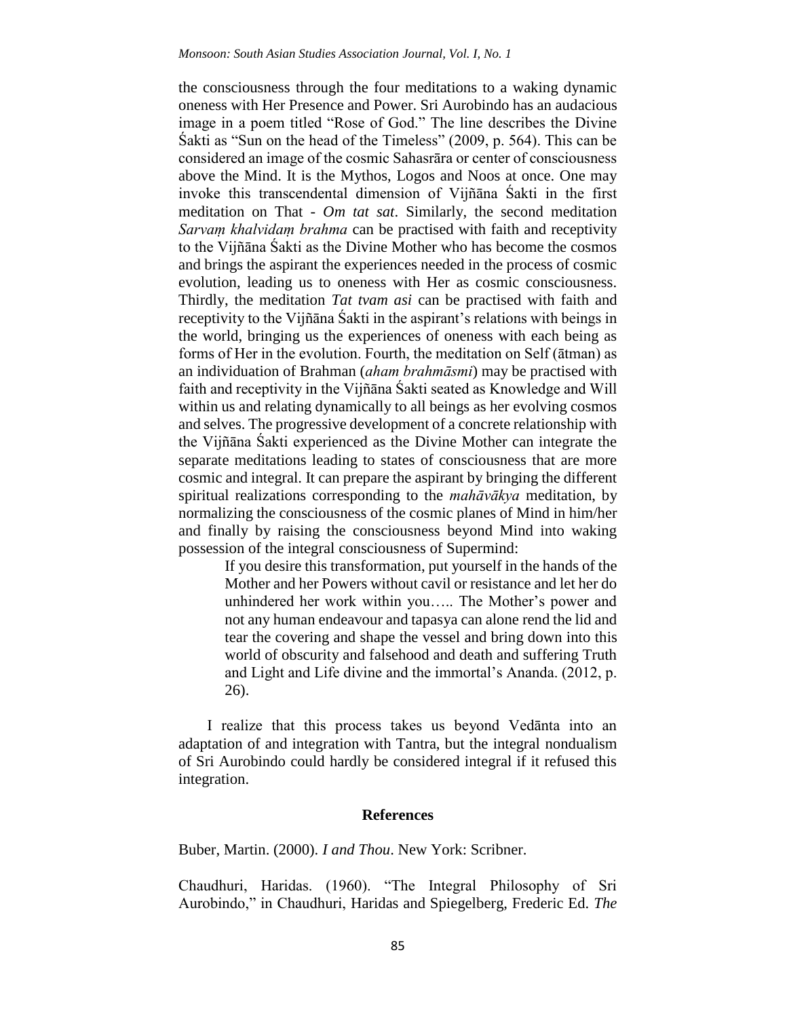the consciousness through the four meditations to a waking dynamic oneness with Her Presence and Power. Sri Aurobindo has an audacious image in a poem titled "Rose of God." The line describes the Divine Śakti as "Sun on the head of the Timeless" (2009, p. 564). This can be considered an image of the cosmic Sahasrāra or center of consciousness above the Mind. It is the Mythos, Logos and Noos at once. One may invoke this transcendental dimension of Vijñāna Śakti in the first meditation on That - *Om tat sat*. Similarly, the second meditation *Sarvaṃ khalvidaṃ brahma* can be practised with faith and receptivity to the Vijñāna Śakti as the Divine Mother who has become the cosmos and brings the aspirant the experiences needed in the process of cosmic evolution, leading us to oneness with Her as cosmic consciousness. Thirdly, the meditation *Tat tvam asi* can be practised with faith and receptivity to the Vijñāna Śakti in the aspirant's relations with beings in the world, bringing us the experiences of oneness with each being as forms of Her in the evolution. Fourth, the meditation on Self (ātman) as an individuation of Brahman (*aham brahmāsmi*) may be practised with faith and receptivity in the Vijñāna Śakti seated as Knowledge and Will within us and relating dynamically to all beings as her evolving cosmos and selves. The progressive development of a concrete relationship with the Vijñāna Śakti experienced as the Divine Mother can integrate the separate meditations leading to states of consciousness that are more cosmic and integral. It can prepare the aspirant by bringing the different spiritual realizations corresponding to the *mahāvākya* meditation, by normalizing the consciousness of the cosmic planes of Mind in him/her and finally by raising the consciousness beyond Mind into waking possession of the integral consciousness of Supermind:

> If you desire this transformation, put yourself in the hands of the Mother and her Powers without cavil or resistance and let her do unhindered her work within you….. The Mother's power and not any human endeavour and tapasya can alone rend the lid and tear the covering and shape the vessel and bring down into this world of obscurity and falsehood and death and suffering Truth and Light and Life divine and the immortal's Ananda. (2012, p. 26).

I realize that this process takes us beyond Vedānta into an adaptation of and integration with Tantra, but the integral nondualism of Sri Aurobindo could hardly be considered integral if it refused this integration.

#### **References**

Buber, Martin. (2000). *I and Thou*. New York: Scribner.

Chaudhuri, Haridas. (1960). "The Integral Philosophy of Sri Aurobindo," in Chaudhuri, Haridas and Spiegelberg, Frederic Ed. *The*